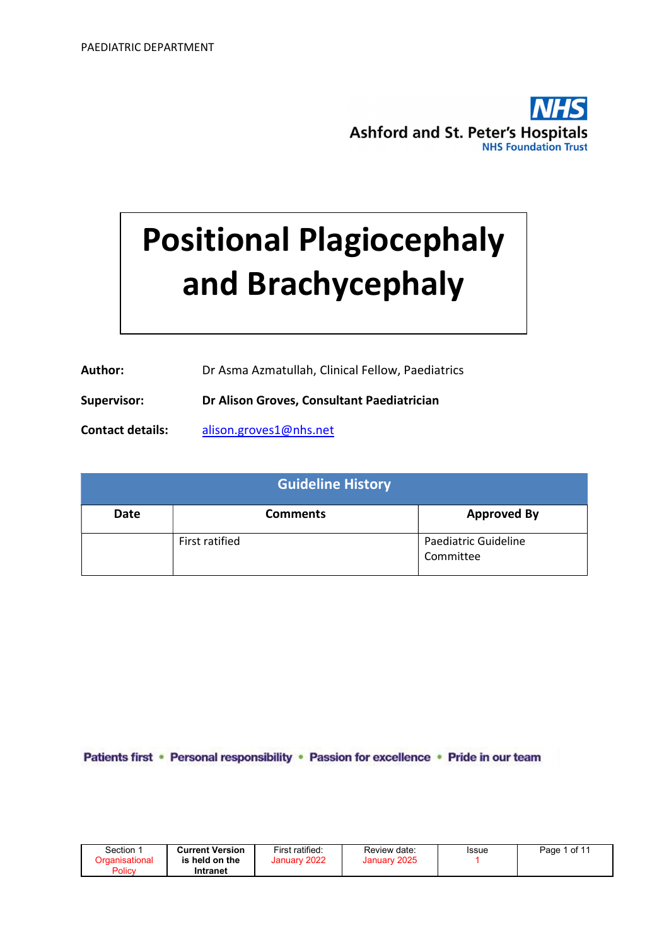

# Positional Plagiocephaly and Brachycephaly

| Author: | Dr Asma Azmatullah, Clinical Fellow, Paediatrics |
|---------|--------------------------------------------------|
|---------|--------------------------------------------------|

Supervisor: Dr Alison Groves, Consultant Paediatrician

Contact details: alison.groves1@nhs.net

| <b>Guideline History</b> |                 |                                   |  |  |
|--------------------------|-----------------|-----------------------------------|--|--|
| Date                     | <b>Comments</b> | <b>Approved By</b>                |  |  |
|                          | First ratified  | Paediatric Guideline<br>Committee |  |  |

Patients first · Personal responsibility · Passion for excellence · Pride in our team

| Section ∵ | <b>Current Version</b> | First ratified: | Review date: | Issue | Page 1 of 11 |
|-----------|------------------------|-----------------|--------------|-------|--------------|
|           | is held on the         | January 2022    | January 2025 |       |              |
| Policy    | Intranet               |                 |              |       |              |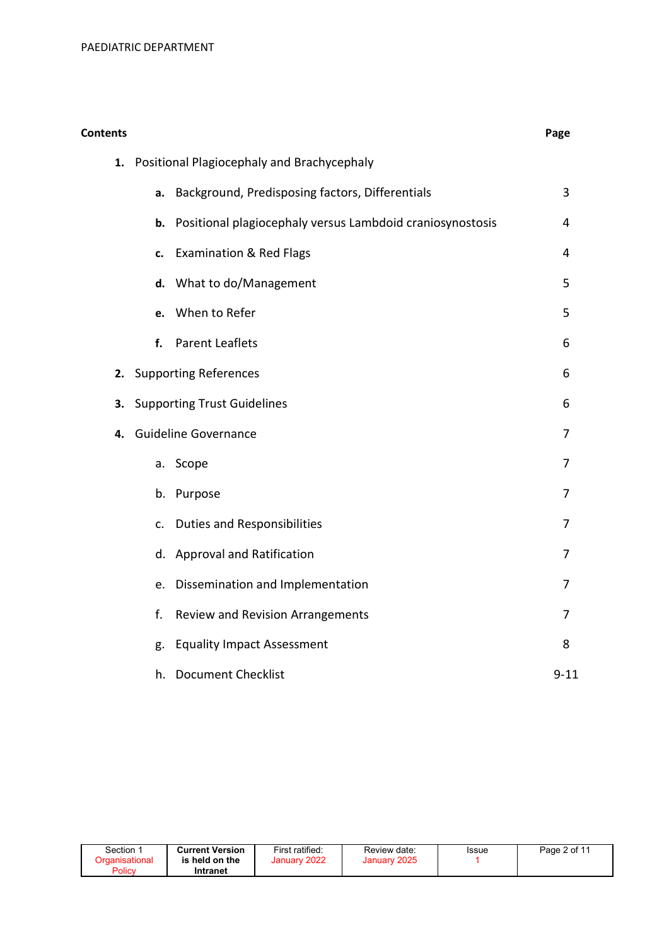| <b>Contents</b> |    |                                                           | Page           |
|-----------------|----|-----------------------------------------------------------|----------------|
|                 |    | 1. Positional Plagiocephaly and Brachycephaly             |                |
|                 | a. | Background, Predisposing factors, Differentials           | 3              |
|                 | b. | Positional plagiocephaly versus Lambdoid craniosynostosis | 4              |
|                 | c. | <b>Examination &amp; Red Flags</b>                        | 4              |
|                 |    | d. What to do/Management                                  | 5              |
|                 | e. | When to Refer                                             | 5              |
|                 | f. | <b>Parent Leaflets</b>                                    | 6              |
| 2.              |    | <b>Supporting References</b>                              | 6              |
| 3.              |    | <b>Supporting Trust Guidelines</b>                        | 6              |
| 4.              |    | <b>Guideline Governance</b>                               | 7              |
|                 |    | a. Scope                                                  | 7              |
|                 |    | b. Purpose                                                | 7              |
|                 |    | c. Duties and Responsibilities                            | $\overline{7}$ |
|                 |    | d. Approval and Ratification                              | $\overline{7}$ |
|                 |    | e. Dissemination and Implementation                       | $\overline{7}$ |
|                 | f. | Review and Revision Arrangements                          | 7              |
|                 | g. | <b>Equality Impact Assessment</b>                         | 8              |
|                 | h. | <b>Document Checklist</b>                                 | $9 - 11$       |

| Section<br>Organisational<br>Policy | <b>Current Version</b><br>is held on the<br>Intranet | First ratified:<br>January 2022 | Review date:<br>January 2025 | Issue | Page 2 of 11 |
|-------------------------------------|------------------------------------------------------|---------------------------------|------------------------------|-------|--------------|
|-------------------------------------|------------------------------------------------------|---------------------------------|------------------------------|-------|--------------|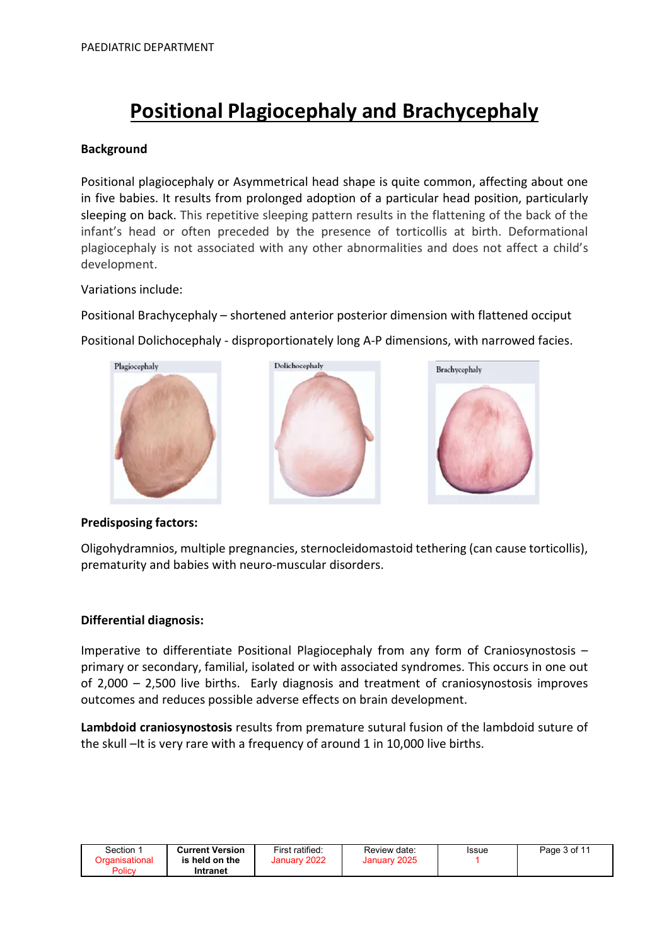# Positional Plagiocephaly and Brachycephaly

#### Background

Positional plagiocephaly or Asymmetrical head shape is quite common, affecting about one in five babies. It results from prolonged adoption of a particular head position, particularly sleeping on back. This repetitive sleeping pattern results in the flattening of the back of the infant's head or often preceded by the presence of torticollis at birth. Deformational plagiocephaly is not associated with any other abnormalities and does not affect a child's development.

Variations include:

Positional Brachycephaly – shortened anterior posterior dimension with flattened occiput

Positional Dolichocephaly - disproportionately long A-P dimensions, with narrowed facies.



#### Predisposing factors:

Oligohydramnios, multiple pregnancies, sternocleidomastoid tethering (can cause torticollis), prematurity and babies with neuro-muscular disorders.

#### Differential diagnosis:

Imperative to differentiate Positional Plagiocephaly from any form of Craniosynostosis – primary or secondary, familial, isolated or with associated syndromes. This occurs in one out of 2,000 – 2,500 live births. Early diagnosis and treatment of craniosynostosis improves outcomes and reduces possible adverse effects on brain development.

Lambdoid craniosynostosis results from premature sutural fusion of the lambdoid suture of the skull –It is very rare with a frequency of around 1 in 10,000 live births.

| Section :      | <b>Current Version</b> | First ratified: | Review date: | Issue | Page 3 of 11 |
|----------------|------------------------|-----------------|--------------|-------|--------------|
| Organisational | is held on the         | January 2022    | January 2025 |       |              |
| Policy         | Intranet               |                 |              |       |              |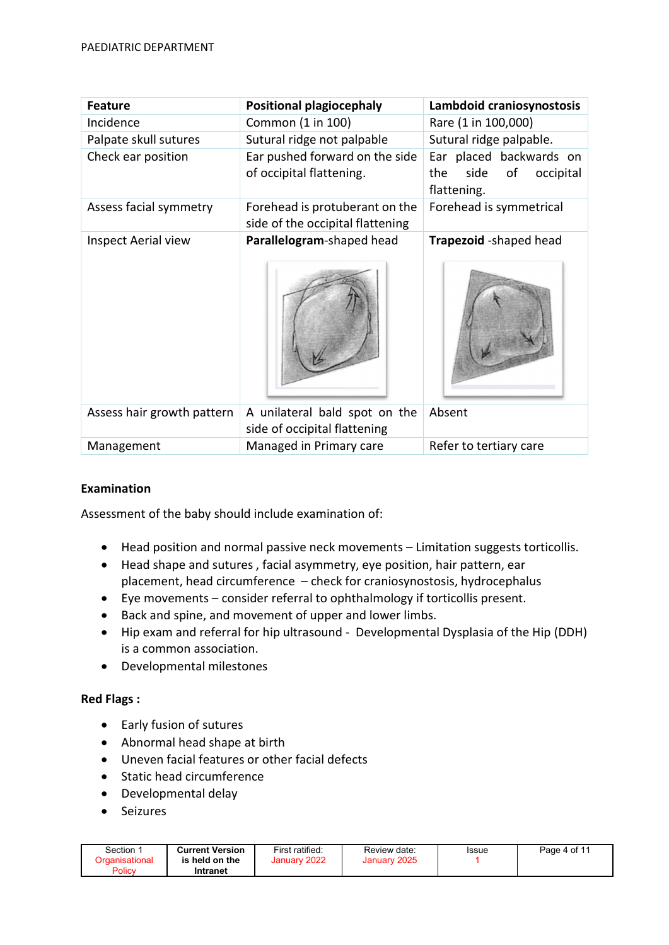| <b>Feature</b>             | <b>Positional plagiocephaly</b>                                    | Lambdoid craniosynostosis                                                |
|----------------------------|--------------------------------------------------------------------|--------------------------------------------------------------------------|
| Incidence                  | Common (1 in 100)                                                  | Rare (1 in 100,000)                                                      |
| Palpate skull sutures      | Sutural ridge not palpable                                         | Sutural ridge palpable.                                                  |
| Check ear position         | Ear pushed forward on the side<br>of occipital flattening.         | Ear placed backwards on<br>side<br>of<br>occipital<br>the<br>flattening. |
| Assess facial symmetry     | Forehead is protuberant on the<br>side of the occipital flattening | Forehead is symmetrical                                                  |
| <b>Inspect Aerial view</b> | Parallelogram-shaped head                                          | Trapezoid -shaped head                                                   |
| Assess hair growth pattern | A unilateral bald spot on the<br>side of occipital flattening      | Absent                                                                   |
| Management                 | Managed in Primary care                                            | Refer to tertiary care                                                   |

# Examination

Assessment of the baby should include examination of:

- Head position and normal passive neck movements Limitation suggests torticollis.
- Head shape and sutures , facial asymmetry, eye position, hair pattern, ear placement, head circumference – check for craniosynostosis, hydrocephalus
- Eye movements consider referral to ophthalmology if torticollis present.
- Back and spine, and movement of upper and lower limbs.
- Hip exam and referral for hip ultrasound Developmental Dysplasia of the Hip (DDH) is a common association.
- Developmental milestones

# Red Flags :

- Early fusion of sutures
- Abnormal head shape at birth
- Uneven facial features or other facial defects
- Static head circumference
- Developmental delay
- Seizures

| Section<br>Policy | <b>Current Version</b><br>is held on the<br>Intranet | First ratified:<br>January 2022 | Review date:<br>2025<br>January: | Issue | Page 4 of 11 |
|-------------------|------------------------------------------------------|---------------------------------|----------------------------------|-------|--------------|
|-------------------|------------------------------------------------------|---------------------------------|----------------------------------|-------|--------------|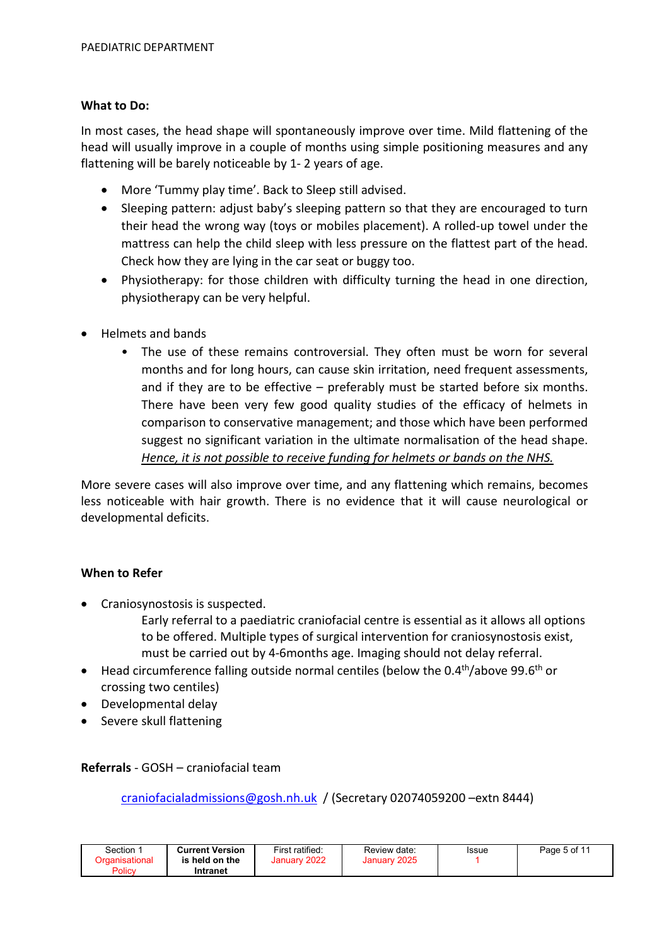#### What to Do:

In most cases, the head shape will spontaneously improve over time. Mild flattening of the head will usually improve in a couple of months using simple positioning measures and any flattening will be barely noticeable by 1- 2 years of age.

- More 'Tummy play time'. Back to Sleep still advised.
- Sleeping pattern: adjust baby's sleeping pattern so that they are encouraged to turn their head the wrong way (toys or mobiles placement). A rolled-up towel under the mattress can help the child sleep with less pressure on the flattest part of the head. Check how they are lying in the car seat or buggy too.
- Physiotherapy: for those children with difficulty turning the head in one direction, physiotherapy can be very helpful.
- Helmets and bands
	- The use of these remains controversial. They often must be worn for several months and for long hours, can cause skin irritation, need frequent assessments, and if they are to be effective – preferably must be started before six months. There have been very few good quality studies of the efficacy of helmets in comparison to conservative management; and those which have been performed suggest no significant variation in the ultimate normalisation of the head shape. Hence, it is not possible to receive funding for helmets or bands on the NHS.

More severe cases will also improve over time, and any flattening which remains, becomes less noticeable with hair growth. There is no evidence that it will cause neurological or developmental deficits.

#### When to Refer

- Craniosynostosis is suspected.
	- Early referral to a paediatric craniofacial centre is essential as it allows all options to be offered. Multiple types of surgical intervention for craniosynostosis exist, must be carried out by 4-6months age. Imaging should not delay referral.
- Head circumference falling outside normal centiles (below the  $0.4<sup>th</sup>/above 99.6<sup>th</sup>$  or crossing two centiles)
- Developmental delay
- Severe skull flattening

#### Referrals - GOSH – craniofacial team

craniofacialadmissions@gosh.nh.uk / (Secretary 02074059200 –extn 8444)

| Section ∵ | <b>Current Version</b> | First ratified: | Review date: | Issue | Page 5 of 11 |
|-----------|------------------------|-----------------|--------------|-------|--------------|
|           | is held on the         | January 2022    | January 2025 |       |              |
| Policy    | Intranet               |                 |              |       |              |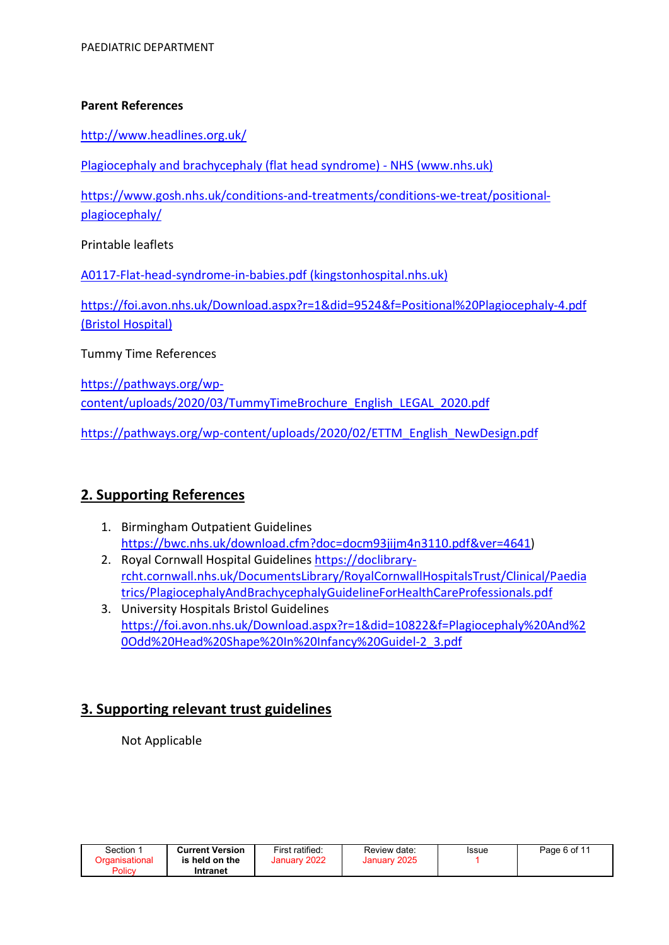#### Parent References

http://www.headlines.org.uk/

Plagiocephaly and brachycephaly (flat head syndrome) - NHS (www.nhs.uk)

https://www.gosh.nhs.uk/conditions-and-treatments/conditions-we-treat/positionalplagiocephaly/

Printable leaflets

A0117-Flat-head-syndrome-in-babies.pdf (kingstonhospital.nhs.uk)

https://foi.avon.nhs.uk/Download.aspx?r=1&did=9524&f=Positional%20Plagiocephaly-4.pdf (Bristol Hospital)

Tummy Time References

https://pathways.org/wpcontent/uploads/2020/03/TummyTimeBrochure\_English\_LEGAL\_2020.pdf

https://pathways.org/wp-content/uploads/2020/02/ETTM\_English\_NewDesign.pdf

# 2. Supporting References

- 1. Birmingham Outpatient Guidelines https://bwc.nhs.uk/download.cfm?doc=docm93jijm4n3110.pdf&ver=4641)
- 2. Royal Cornwall Hospital Guidelines https://doclibraryrcht.cornwall.nhs.uk/DocumentsLibrary/RoyalCornwallHospitalsTrust/Clinical/Paedia trics/PlagiocephalyAndBrachycephalyGuidelineForHealthCareProfessionals.pdf
- 3. University Hospitals Bristol Guidelines https://foi.avon.nhs.uk/Download.aspx?r=1&did=10822&f=Plagiocephaly%20And%2 0Odd%20Head%20Shape%20In%20Infancy%20Guidel-2\_3.pdf

# 3. Supporting relevant trust guidelines

Not Applicable

| Section        | <b>Current Version</b> | First ratified: | Review date: | Issue | Page 6 of 11 |
|----------------|------------------------|-----------------|--------------|-------|--------------|
| Drganisational | is held on the         | 2022<br>January | January 2025 |       |              |
| Policy         | Intranet               |                 |              |       |              |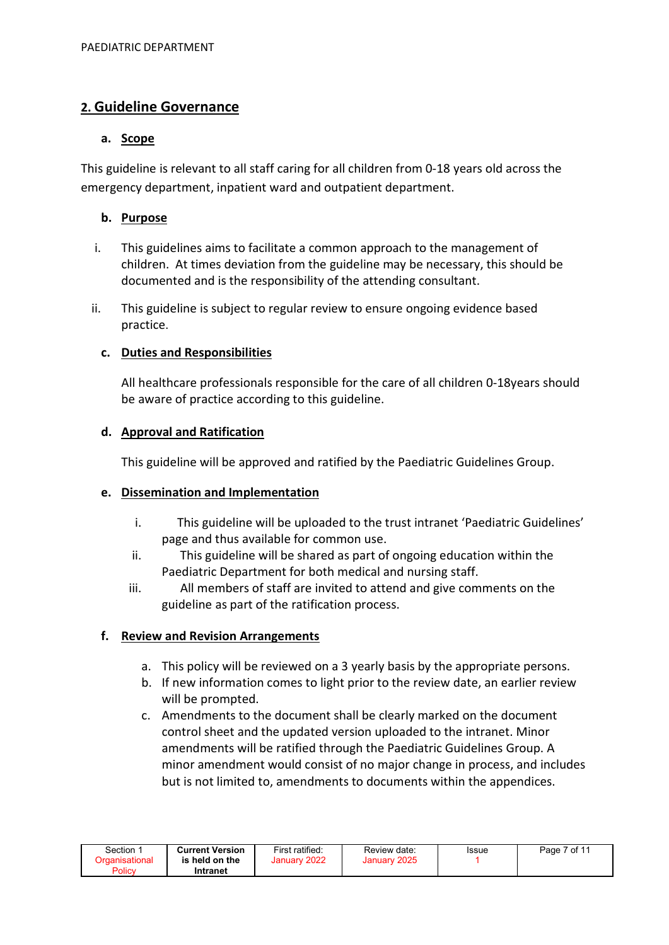# 2. Guideline Governance

#### a. Scope

This guideline is relevant to all staff caring for all children from 0-18 years old across the emergency department, inpatient ward and outpatient department.

# b. Purpose

- i. This guidelines aims to facilitate a common approach to the management of children. At times deviation from the guideline may be necessary, this should be documented and is the responsibility of the attending consultant.
- ii. This guideline is subject to regular review to ensure ongoing evidence based practice.

# c. Duties and Responsibilities

All healthcare professionals responsible for the care of all children 0-18years should be aware of practice according to this guideline.

#### d. Approval and Ratification

This guideline will be approved and ratified by the Paediatric Guidelines Group.

#### e. Dissemination and Implementation

- i. This guideline will be uploaded to the trust intranet 'Paediatric Guidelines' page and thus available for common use.
- ii. This guideline will be shared as part of ongoing education within the Paediatric Department for both medical and nursing staff.
- iii. All members of staff are invited to attend and give comments on the guideline as part of the ratification process.

# f. Review and Revision Arrangements

- a. This policy will be reviewed on a 3 yearly basis by the appropriate persons.
- b. If new information comes to light prior to the review date, an earlier review will be prompted.
- c. Amendments to the document shall be clearly marked on the document control sheet and the updated version uploaded to the intranet. Minor amendments will be ratified through the Paediatric Guidelines Group. A minor amendment would consist of no major change in process, and includes but is not limited to, amendments to documents within the appendices.

| Section        | <b>Current Version</b> | First ratified: | Review date: | Issue | Page 7 of 11 |
|----------------|------------------------|-----------------|--------------|-------|--------------|
| Organisational | is held on the         | January 2022    | January 2025 |       |              |
| Policy         | Intranet               |                 |              |       |              |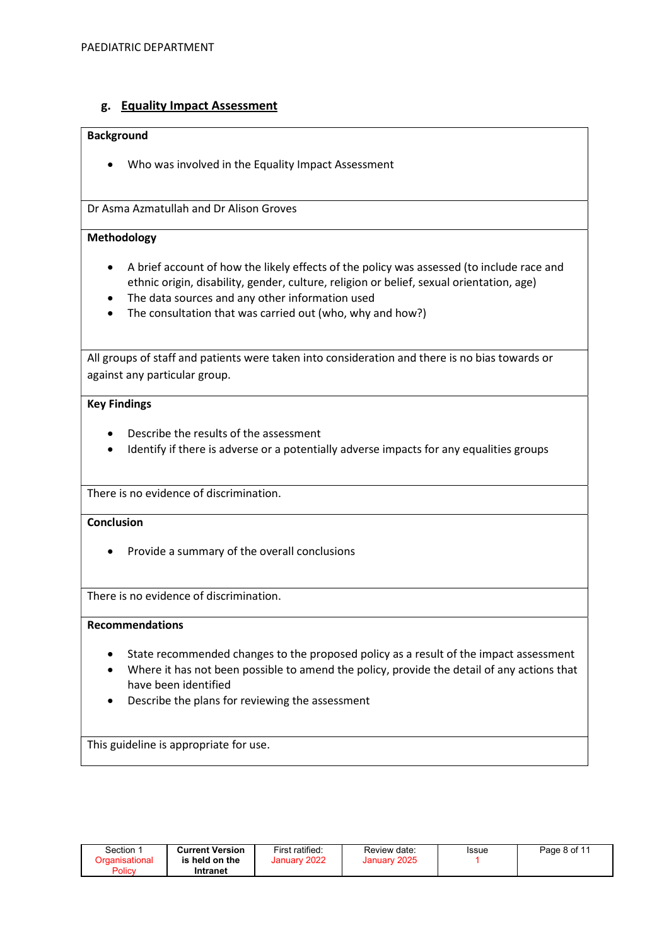#### g. Equality Impact Assessment

#### Background

Who was involved in the Equality Impact Assessment

Dr Asma Azmatullah and Dr Alison Groves

#### Methodology

- A brief account of how the likely effects of the policy was assessed (to include race and ethnic origin, disability, gender, culture, religion or belief, sexual orientation, age)
- The data sources and any other information used
- The consultation that was carried out (who, why and how?)

All groups of staff and patients were taken into consideration and there is no bias towards or against any particular group.

#### Key Findings

- Describe the results of the assessment
- Identify if there is adverse or a potentially adverse impacts for any equalities groups

There is no evidence of discrimination.

#### **Conclusion**

• Provide a summary of the overall conclusions

There is no evidence of discrimination.

#### Recommendations

- State recommended changes to the proposed policy as a result of the impact assessment
- Where it has not been possible to amend the policy, provide the detail of any actions that have been identified
- Describe the plans for reviewing the assessment

This guideline is appropriate for use.

| Section ∵                | <b>Current Version</b>     | First ratified: | Review date: | Issue | Page 8 of 11 |
|--------------------------|----------------------------|-----------------|--------------|-------|--------------|
| Organisational<br>Policy | is held on the<br>Intranet | January 2022    | January 2025 |       |              |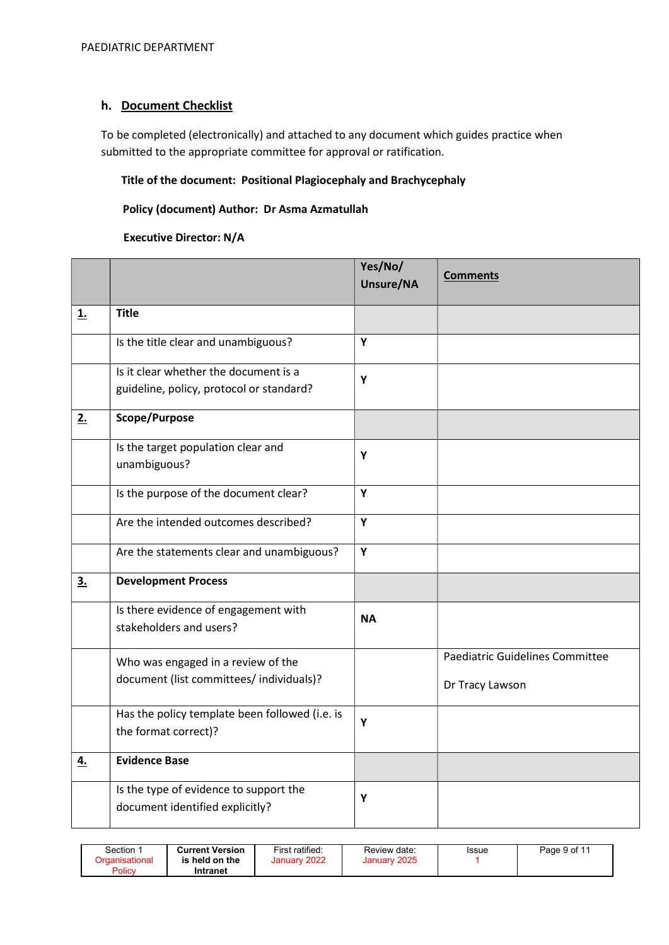#### h. Document Checklist

To be completed (electronically) and attached to any document which guides practice when submitted to the appropriate committee for approval or ratification.

#### Title of the document: Positional Plagiocephaly and Brachycephaly

#### Policy (document) Author: Dr Asma Azmatullah

#### Executive Director: N/A

|           |                                                                                   | Yes/No/<br>Unsure/NA | <b>Comments</b>                 |
|-----------|-----------------------------------------------------------------------------------|----------------------|---------------------------------|
| <u>1.</u> | <b>Title</b>                                                                      |                      |                                 |
|           | Is the title clear and unambiguous?                                               | Y                    |                                 |
|           | Is it clear whether the document is a<br>guideline, policy, protocol or standard? | Y                    |                                 |
| 2.        | Scope/Purpose                                                                     |                      |                                 |
|           | Is the target population clear and<br>unambiguous?                                | Y                    |                                 |
|           | Is the purpose of the document clear?                                             | Y                    |                                 |
|           | Are the intended outcomes described?                                              | Y                    |                                 |
|           | Are the statements clear and unambiguous?                                         | Y                    |                                 |
| 3.        | <b>Development Process</b>                                                        |                      |                                 |
|           | Is there evidence of engagement with<br>stakeholders and users?                   | <b>NA</b>            |                                 |
|           | Who was engaged in a review of the                                                |                      | Paediatric Guidelines Committee |
|           | document (list committees/ individuals)?                                          |                      | Dr Tracy Lawson                 |
|           | Has the policy template been followed (i.e. is<br>the format correct)?            | Y                    |                                 |
| 4.        | <b>Evidence Base</b>                                                              |                      |                                 |
|           | Is the type of evidence to support the<br>document identified explicitly?         | Y                    |                                 |

| <b>Current Version</b><br>January 2022<br>January 2025<br>Organisational<br>is held on the<br>Policy<br>Intranet | Section <sup>3</sup> |  | First ratified: | Review date: | Issue | Page 9 of 11 |
|------------------------------------------------------------------------------------------------------------------|----------------------|--|-----------------|--------------|-------|--------------|
|------------------------------------------------------------------------------------------------------------------|----------------------|--|-----------------|--------------|-------|--------------|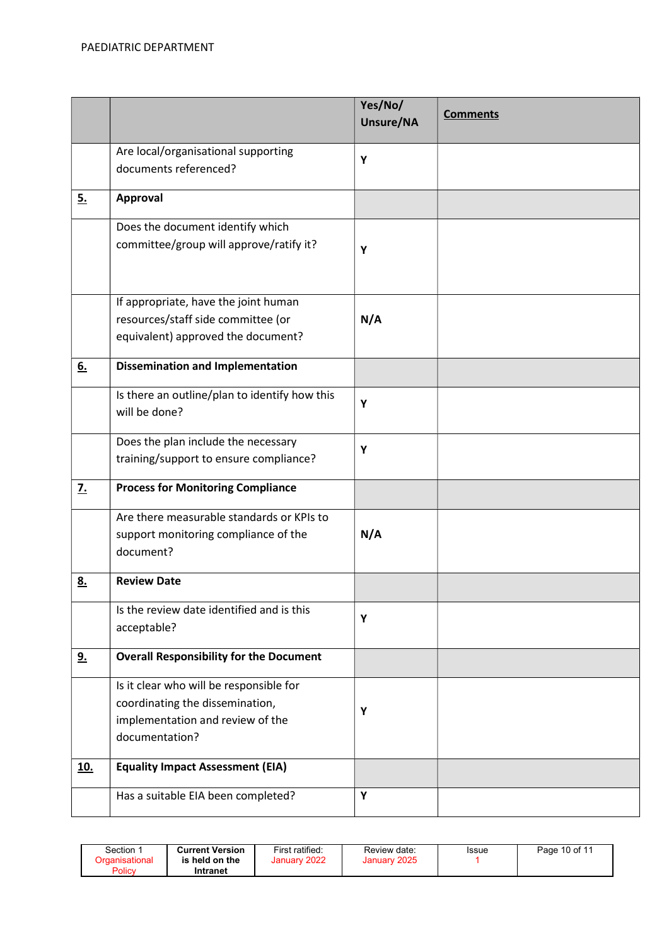|                  |                                                                                                                                  | Yes/No/<br>Unsure/NA | <b>Comments</b> |
|------------------|----------------------------------------------------------------------------------------------------------------------------------|----------------------|-----------------|
|                  | Are local/organisational supporting<br>documents referenced?                                                                     | Y                    |                 |
| 5.               | Approval                                                                                                                         |                      |                 |
|                  | Does the document identify which<br>committee/group will approve/ratify it?                                                      | Y                    |                 |
|                  | If appropriate, have the joint human<br>resources/staff side committee (or<br>equivalent) approved the document?                 | N/A                  |                 |
| 6.               | <b>Dissemination and Implementation</b>                                                                                          |                      |                 |
|                  | Is there an outline/plan to identify how this<br>will be done?                                                                   | Υ                    |                 |
|                  | Does the plan include the necessary<br>training/support to ensure compliance?                                                    | Y                    |                 |
| $\overline{z}$ . | <b>Process for Monitoring Compliance</b>                                                                                         |                      |                 |
|                  | Are there measurable standards or KPIs to<br>support monitoring compliance of the<br>document?                                   | N/A                  |                 |
| <u>8.</u>        | <b>Review Date</b>                                                                                                               |                      |                 |
|                  | Is the review date identified and is this<br>acceptable?                                                                         | Y                    |                 |
| <u>9.</u>        | <b>Overall Responsibility for the Document</b>                                                                                   |                      |                 |
|                  | Is it clear who will be responsible for<br>coordinating the dissemination,<br>implementation and review of the<br>documentation? | Υ                    |                 |
| <u>10.</u>       | <b>Equality Impact Assessment (EIA)</b>                                                                                          |                      |                 |
|                  | Has a suitable EIA been completed?                                                                                               | Υ                    |                 |

| Section <sup>.</sup> | <b>Current Version</b>     | First ratified: | Review date: | Issue | Page 10 of 11 |
|----------------------|----------------------------|-----------------|--------------|-------|---------------|
| Policy               | is held on the<br>Intranet | January 2022    | January 2025 |       |               |